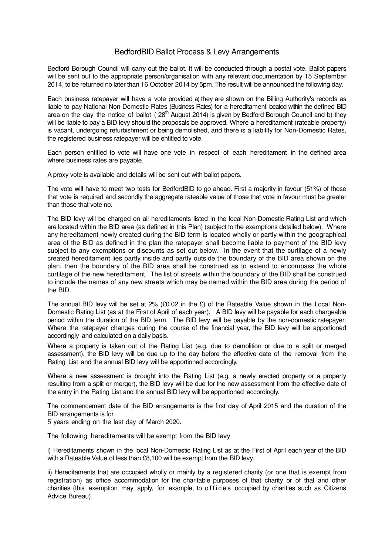## BedfordBID Ballot Process & Levy Arrangements

Bedford Borough Council will carry out the ballot. It will be conducted through a postal vote. Ballot papers will be sent out to the appropriate person/organisation with any relevant documentation by 15 September 2014, to be returned no later than 16 October 2014 by 5pm. The result will be announced the following day.

Each business ratepayer will have a vote provided a) they are shown on the Billing Authority's records as liable to pay National Non-Domestic Rates (Business Rates) for a hereditament located within the defined BID area on the day the notice of ballot ( $28<sup>th</sup>$  August 2014) is given by Bedford Borough Council and b) they will be liable to pay a BID levy should the proposals be approved. Where a hereditament (rateable property) is vacant, undergoing refurbishment or being demolished, and there is a liability for Non-Domestic Rates, the registered business ratepayer will be entitled to vote.

Each person entitled to vote will have one vote in respect of each hereditament in the defined area where business rates are payable.

A proxy vote is available and details will be sent out with ballot papers.

The vote will have to meet two tests for BedfordBID to go ahead. First a majority in favour (51%) of those that vote is required and secondly the aggregate rateable value of those that vote in favour must be greater than those that vote no.

The BID levy will be charged on all hereditaments listed in the local Non-Domestic Rating List and which are located within the BID area (as defined in this Plan) (subject to the exemptions detailed below). Where any hereditament newly created during the BID term is located wholly or partly within the geographical area of the BID as defined in the plan the ratepayer shall become liable to payment of the BID levy subject to any exemptions or discounts as set out below. In the event that the curtilage of a newly created hereditament lies partly inside and partly outside the boundary of the BID area shown on the plan, then the boundary of the BID area shall be construed as to extend to encompass the whole curtilage of the new hereditament. The list of streets within the boundary of the BID shall be construed to include the names of any new streets which may be named within the BID area during the period of the BID.

The annual BID levy will be set at 2% (£0.02 in the £) of the Rateable Value shown in the Local Non-Domestic Rating List (as at the First of April of each year). A BID levy will be payable for each chargeable period within the duration of the BID term. The BID levy will be payable by the non-domestic ratepayer. Where the ratepayer changes during the course of the financial year, the BID levy will be apportioned accordingly and calculated on a daily basis.

Where a property is taken out of the Rating List (e.g. due to demolition or due to a split or merged assessment), the BID levy will be due up to the day before the effective date of the removal from the Rating List and the annual BID levy will be apportioned accordingly.

Where a new assessment is brought into the Rating List (e.g. a newly erected property or a property resulting from a split or merger), the BID levy will be due for the new assessment from the effective date of the entry in the Rating List and the annual BID levy will be apportioned accordingly.

The commencement date of the BID arrangements is the first day of April 2015 and the duration of the BID arrangements is for

5 years ending on the last day of March 2020.

The following hereditaments will be exempt from the BID levy

i) Hereditaments shown in the local Non-Domestic Rating List as at the First of April each year of the BID with a Rateable Value of less than £8,100 will be exempt from the BID levy.

ii) Hereditaments that are occupied wholly or mainly by a registered charity (or one that is exempt from registration) as office accommodation for the charitable purposes of that charity or of that and other charities (this exemption may apply, for example, to offices occupied by charities such as Citizens Advice Bureau).